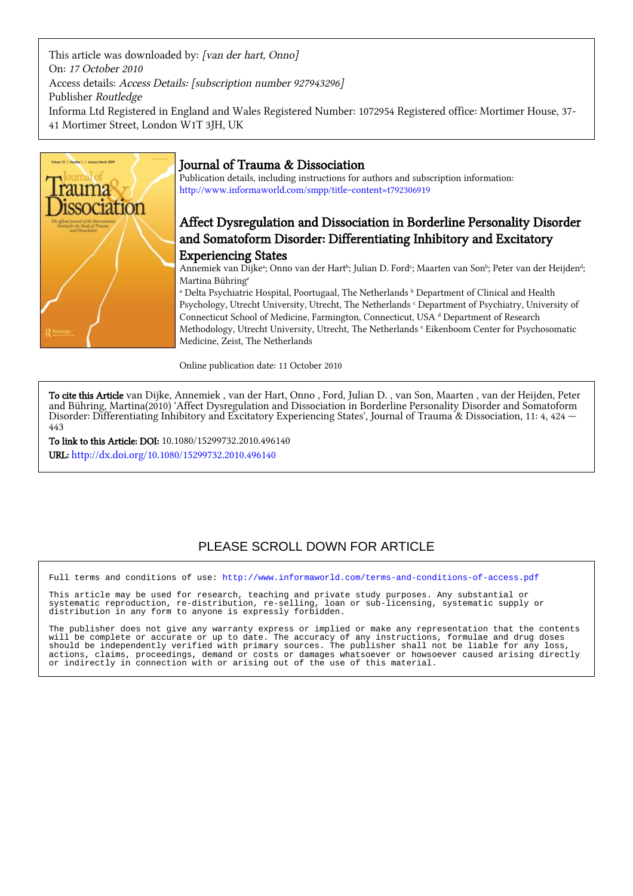This article was downloaded by: [van der hart, Onno] On: 17 October 2010 Access details: Access Details: [subscription number 927943296] Publisher Routledge Informa Ltd Registered in England and Wales Registered Number: 1072954 Registered office: Mortimer House, 37- 41 Mortimer Street, London W1T 3JH, UK



# Journal of Trauma & Dissociation

Publication details, including instructions for authors and subscription information: <http://www.informaworld.com/smpp/title~content=t792306919>

# Affect Dysregulation and Dissociation in Borderline Personality Disorder and Somatoform Disorder: Differentiating Inhibitory and Excitatory Experiencing States

Annemiek van Dijkeª; Onno van der Hartʰ; Julian D. Fordʿː; Maarten van Sonʰ; Peter van der Heijden<sup>d</sup>; Martina Bühring<sup>e</sup>

<sup>a</sup> Delta Psychiatric Hospital, Poortugaal, The Netherlands <sup>b</sup> Department of Clinical and Health Psychology, Utrecht University, Utrecht, The Netherlands <sup>c</sup> Department of Psychiatry, University of Connecticut School of Medicine, Farmington, Connecticut, USA <sup>d</sup> Department of Research Methodology, Utrecht University, Utrecht, The Netherlands <sup>e</sup> Eikenboom Center for Psychosomatic Medicine, Zeist, The Netherlands

Online publication date: 11 October 2010

To cite this Article van Dijke, Annemiek , van der Hart, Onno , Ford, Julian D. , van Son, Maarten , van der Heijden, Peter and Bühring, Martina(2010) 'Affect Dysregulation and Dissociation in Borderline Personality Disorder and Somatoform Disorder: Differentiating Inhibitory and Excitatory Experiencing States', Journal of Trauma & Dissociation, 11: 4, 424 – 443

To link to this Article: DOI: 10.1080/15299732.2010.496140 URL: <http://dx.doi.org/10.1080/15299732.2010.496140>

# PLEASE SCROLL DOWN FOR ARTICLE

Full terms and conditions of use:<http://www.informaworld.com/terms-and-conditions-of-access.pdf>

This article may be used for research, teaching and private study purposes. Any substantial or systematic reproduction, re-distribution, re-selling, loan or sub-licensing, systematic supply or distribution in any fact and the distribution, re-selling, loan<br>distribution in any form to anyone is expressly forbidden.

The publisher does not give any warranty express or implied or make any representation that the contents will be complete or accurate or up to date. The accuracy of any instructions, formulae and drug doses should be independently verified with primary sources. The publisher shall not be liable for any loss, actions, claims, proceedings, demand or costs or damages whatsoever or howsoever caused arising directly or indirectly in connection with or arising out of the use of this material.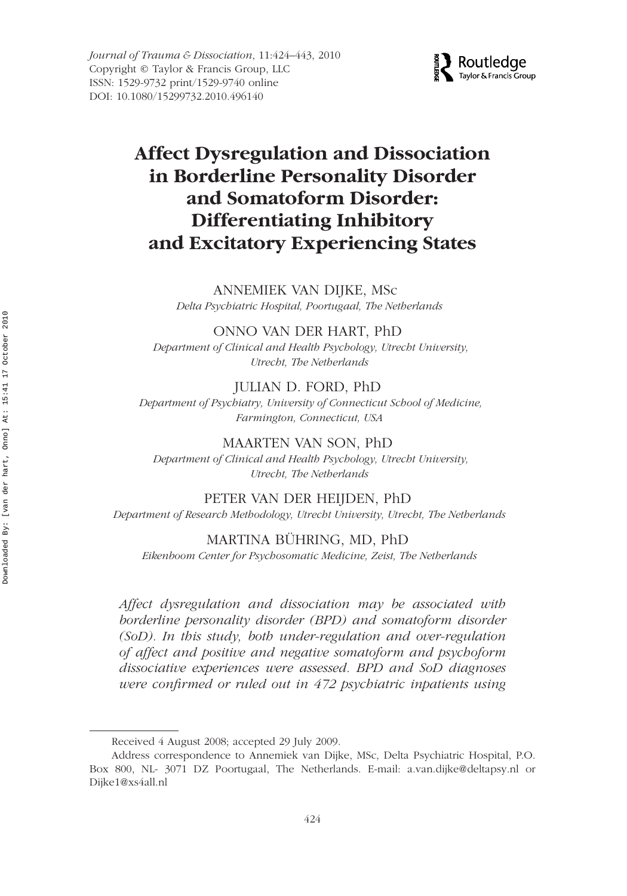*Journal of Trauma & Dissociation*, 11:424–443, 2010 Copyright © Taylor & Francis Group, LLC ISSN: 1529-9732 print/1529-9740 online DOI: 10.1080/15299732.2010.496140



# **Affect Dysregulation and Dissociation in Borderline Personality Disorder and Somatoform Disorder: Differentiating Inhibitory and Excitatory Experiencing States**

ANNEMIEK VAN DIJKE, MSc *Delta Psychiatric Hospital, Poortugaal, The Netherlands*

ONNO VAN DER HART, PhD *Department of Clinical and Health Psychology, Utrecht University, Utrecht, The Netherlands*

JULIAN D. FORD, PhD

*Department of Psychiatry, University of Connecticut School of Medicine, Farmington, Connecticut, USA*

MAARTEN VAN SON, PhD *Department of Clinical and Health Psychology, Utrecht University,*

*Utrecht, The Netherlands*

PETER VAN DER HEIJDEN, PhD

*Department of Research Methodology, Utrecht University, Utrecht, The Netherlands*

## MARTINA BÜHRING, MD, PhD

*Eikenboom Center for Psychosomatic Medicine, Zeist, The Netherlands*

*Affect dysregulation and dissociation may be associated with borderline personality disorder (BPD) and somatoform disorder (SoD). In this study, both under-regulation and over-regulation of affect and positive and negative somatoform and psychoform dissociative experiences were assessed. BPD and SoD diagnoses were confirmed or ruled out in 472 psychiatric inpatients using*

Received 4 August 2008; accepted 29 July 2009.

Address correspondence to Annemiek van Dijke, MSc, Delta Psychiatric Hospital, P.O. Box 800, NL- 3071 DZ Poortugaal, The Netherlands. E-mail: a.van.dijke@deltapsy.nl or Dijke1@xs4all.nl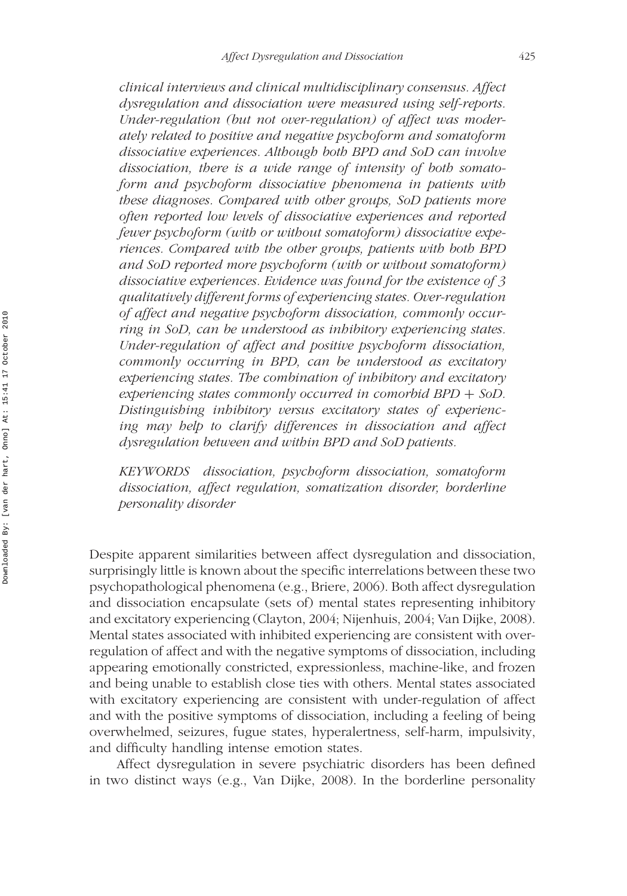*clinical interviews and clinical multidisciplinary consensus. Affect dysregulation and dissociation were measured using self-reports. Under-regulation (but not over-regulation) of affect was moderately related to positive and negative psychoform and somatoform dissociative experiences. Although both BPD and SoD can involve dissociation, there is a wide range of intensity of both somatoform and psychoform dissociative phenomena in patients with these diagnoses. Compared with other groups, SoD patients more often reported low levels of dissociative experiences and reported fewer psychoform (with or without somatoform) dissociative experiences. Compared with the other groups, patients with both BPD and SoD reported more psychoform (with or without somatoform) dissociative experiences. Evidence was found for the existence of 3 qualitatively different forms of experiencing states. Over-regulation of affect and negative psychoform dissociation, commonly occurring in SoD, can be understood as inhibitory experiencing states. Under-regulation of affect and positive psychoform dissociation, commonly occurring in BPD, can be understood as excitatory experiencing states. The combination of inhibitory and excitatory experiencing states commonly occurred in comorbid BPD* + *SoD. Distinguishing inhibitory versus excitatory states of experiencing may help to clarify differences in dissociation and affect dysregulation between and within BPD and SoD patients.*

*KEYWORDS dissociation, psychoform dissociation, somatoform dissociation, affect regulation, somatization disorder, borderline personality disorder*

Despite apparent similarities between affect dysregulation and dissociation, surprisingly little is known about the specific interrelations between these two psychopathological phenomena (e.g., Briere, 2006). Both affect dysregulation and dissociation encapsulate (sets of) mental states representing inhibitory and excitatory experiencing (Clayton, 2004; Nijenhuis, 2004; Van Dijke, 2008). Mental states associated with inhibited experiencing are consistent with overregulation of affect and with the negative symptoms of dissociation, including appearing emotionally constricted, expressionless, machine-like, and frozen and being unable to establish close ties with others. Mental states associated with excitatory experiencing are consistent with under-regulation of affect and with the positive symptoms of dissociation, including a feeling of being overwhelmed, seizures, fugue states, hyperalertness, self-harm, impulsivity, and difficulty handling intense emotion states.

Affect dysregulation in severe psychiatric disorders has been defined in two distinct ways (e.g., Van Dijke, 2008). In the borderline personality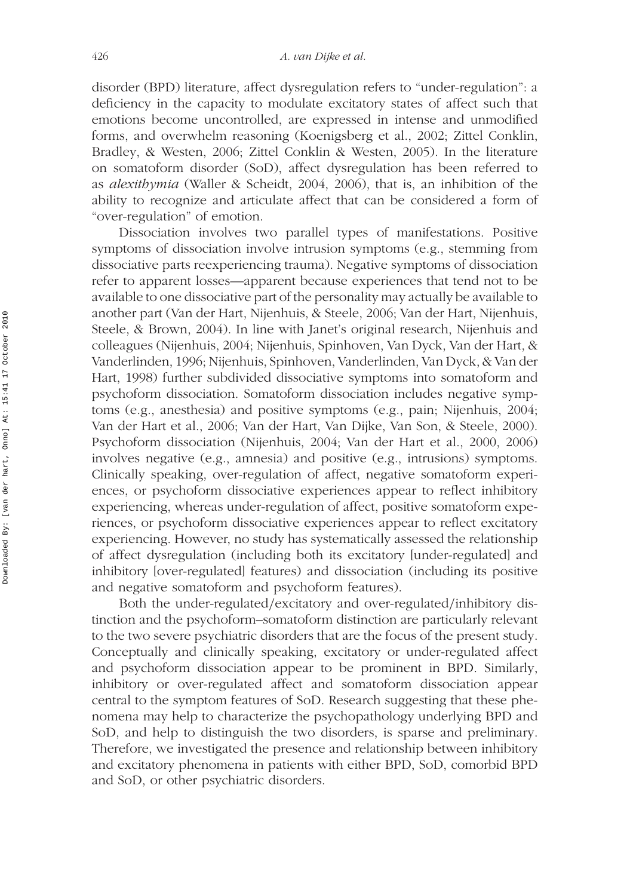disorder (BPD) literature, affect dysregulation refers to "under-regulation": a deficiency in the capacity to modulate excitatory states of affect such that emotions become uncontrolled, are expressed in intense and unmodified forms, and overwhelm reasoning (Koenigsberg et al., 2002; Zittel Conklin, Bradley, & Westen, 2006; Zittel Conklin & Westen, 2005). In the literature on somatoform disorder (SoD), affect dysregulation has been referred to as *alexithymia* (Waller & Scheidt, 2004, 2006), that is, an inhibition of the ability to recognize and articulate affect that can be considered a form of "over-regulation" of emotion.

Dissociation involves two parallel types of manifestations. Positive symptoms of dissociation involve intrusion symptoms (e.g., stemming from dissociative parts reexperiencing trauma). Negative symptoms of dissociation refer to apparent losses—apparent because experiences that tend not to be available to one dissociative part of the personality may actually be available to another part (Van der Hart, Nijenhuis, & Steele, 2006; Van der Hart, Nijenhuis, Steele, & Brown, 2004). In line with Janet's original research, Nijenhuis and colleagues (Nijenhuis, 2004; Nijenhuis, Spinhoven, Van Dyck, Van der Hart, & Vanderlinden, 1996; Nijenhuis, Spinhoven, Vanderlinden, Van Dyck, & Van der Hart, 1998) further subdivided dissociative symptoms into somatoform and psychoform dissociation. Somatoform dissociation includes negative symptoms (e.g., anesthesia) and positive symptoms (e.g., pain; Nijenhuis, 2004; Van der Hart et al., 2006; Van der Hart, Van Dijke, Van Son, & Steele, 2000). Psychoform dissociation (Nijenhuis, 2004; Van der Hart et al., 2000, 2006) involves negative (e.g., amnesia) and positive (e.g., intrusions) symptoms. Clinically speaking, over-regulation of affect, negative somatoform experiences, or psychoform dissociative experiences appear to reflect inhibitory experiencing, whereas under-regulation of affect, positive somatoform experiences, or psychoform dissociative experiences appear to reflect excitatory experiencing. However, no study has systematically assessed the relationship of affect dysregulation (including both its excitatory [under-regulated] and inhibitory [over-regulated] features) and dissociation (including its positive and negative somatoform and psychoform features).

Both the under-regulated/excitatory and over-regulated/inhibitory distinction and the psychoform–somatoform distinction are particularly relevant to the two severe psychiatric disorders that are the focus of the present study. Conceptually and clinically speaking, excitatory or under-regulated affect and psychoform dissociation appear to be prominent in BPD. Similarly, inhibitory or over-regulated affect and somatoform dissociation appear central to the symptom features of SoD. Research suggesting that these phenomena may help to characterize the psychopathology underlying BPD and SoD, and help to distinguish the two disorders, is sparse and preliminary. Therefore, we investigated the presence and relationship between inhibitory and excitatory phenomena in patients with either BPD, SoD, comorbid BPD and SoD, or other psychiatric disorders.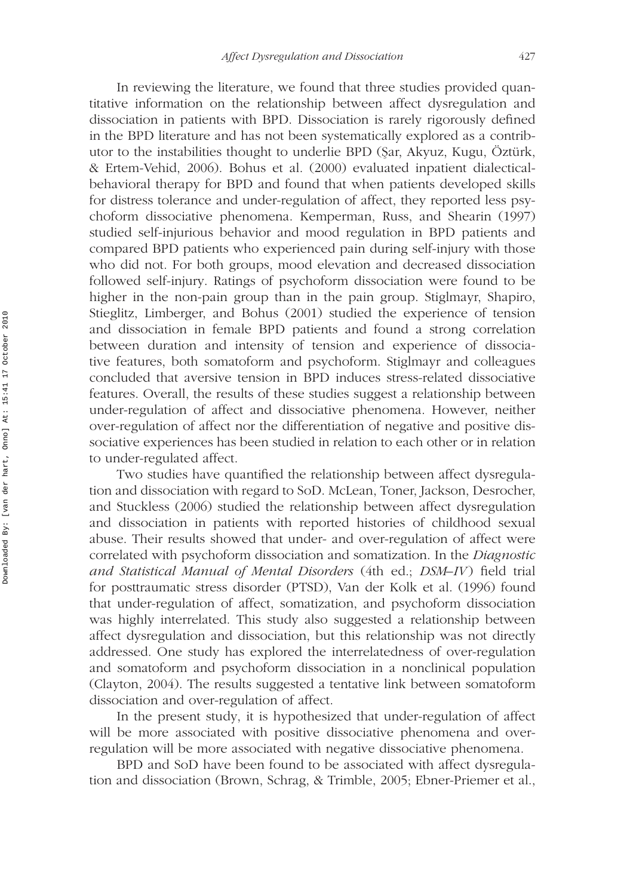In reviewing the literature, we found that three studies provided quantitative information on the relationship between affect dysregulation and dissociation in patients with BPD. Dissociation is rarely rigorously defined in the BPD literature and has not been systematically explored as a contributor to the instabilities thought to underlie BPD (¸Sar, Akyuz, Kugu, Öztürk, & Ertem-Vehid, 2006). Bohus et al. (2000) evaluated inpatient dialecticalbehavioral therapy for BPD and found that when patients developed skills for distress tolerance and under-regulation of affect, they reported less psychoform dissociative phenomena. Kemperman, Russ, and Shearin (1997) studied self-injurious behavior and mood regulation in BPD patients and compared BPD patients who experienced pain during self-injury with those who did not. For both groups, mood elevation and decreased dissociation followed self-injury. Ratings of psychoform dissociation were found to be higher in the non-pain group than in the pain group. Stiglmayr, Shapiro, Stieglitz, Limberger, and Bohus (2001) studied the experience of tension and dissociation in female BPD patients and found a strong correlation between duration and intensity of tension and experience of dissociative features, both somatoform and psychoform. Stiglmayr and colleagues concluded that aversive tension in BPD induces stress-related dissociative features. Overall, the results of these studies suggest a relationship between under-regulation of affect and dissociative phenomena. However, neither over-regulation of affect nor the differentiation of negative and positive dissociative experiences has been studied in relation to each other or in relation to under-regulated affect.

Two studies have quantified the relationship between affect dysregulation and dissociation with regard to SoD. McLean, Toner, Jackson, Desrocher, and Stuckless (2006) studied the relationship between affect dysregulation and dissociation in patients with reported histories of childhood sexual abuse. Their results showed that under- and over-regulation of affect were correlated with psychoform dissociation and somatization. In the *Diagnostic and Statistical Manual of Mental Disorders* (4th ed.; *DSM–IV*) field trial for posttraumatic stress disorder (PTSD), Van der Kolk et al. (1996) found that under-regulation of affect, somatization, and psychoform dissociation was highly interrelated. This study also suggested a relationship between affect dysregulation and dissociation, but this relationship was not directly addressed. One study has explored the interrelatedness of over-regulation and somatoform and psychoform dissociation in a nonclinical population (Clayton, 2004). The results suggested a tentative link between somatoform dissociation and over-regulation of affect.

In the present study, it is hypothesized that under-regulation of affect will be more associated with positive dissociative phenomena and overregulation will be more associated with negative dissociative phenomena.

BPD and SoD have been found to be associated with affect dysregulation and dissociation (Brown, Schrag, & Trimble, 2005; Ebner-Priemer et al.,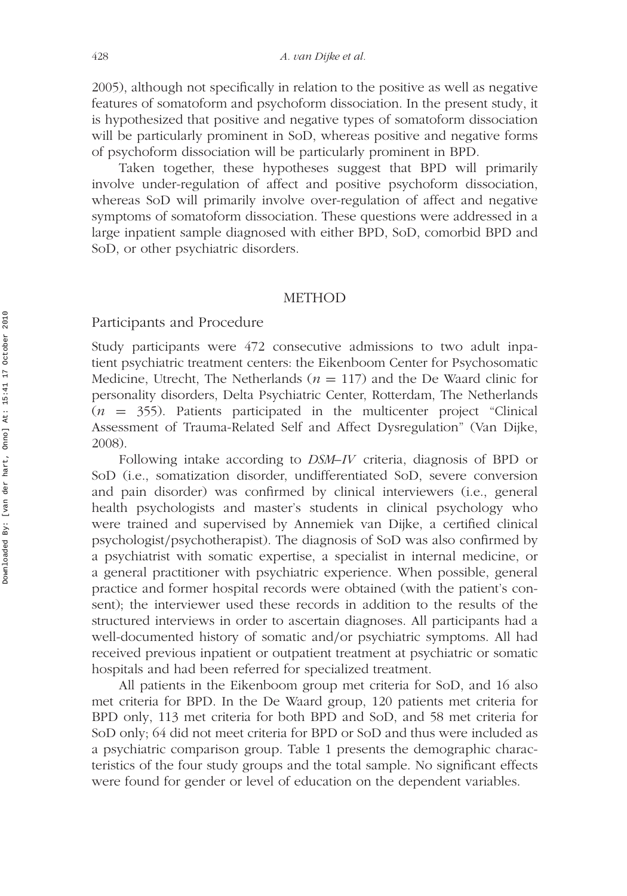2005), although not specifically in relation to the positive as well as negative features of somatoform and psychoform dissociation. In the present study, it is hypothesized that positive and negative types of somatoform dissociation will be particularly prominent in SoD, whereas positive and negative forms of psychoform dissociation will be particularly prominent in BPD.

Taken together, these hypotheses suggest that BPD will primarily involve under-regulation of affect and positive psychoform dissociation, whereas SoD will primarily involve over-regulation of affect and negative symptoms of somatoform dissociation. These questions were addressed in a large inpatient sample diagnosed with either BPD, SoD, comorbid BPD and SoD, or other psychiatric disorders.

#### METHOD

# Participants and Procedure

Study participants were 472 consecutive admissions to two adult inpatient psychiatric treatment centers: the Eikenboom Center for Psychosomatic Medicine, Utrecht, The Netherlands ( $n = 117$ ) and the De Waard clinic for personality disorders, Delta Psychiatric Center, Rotterdam, The Netherlands (*n* = 355). Patients participated in the multicenter project "Clinical Assessment of Trauma-Related Self and Affect Dysregulation" (Van Dijke, 2008).

Following intake according to *DSM–IV* criteria, diagnosis of BPD or SoD (i.e., somatization disorder, undifferentiated SoD, severe conversion and pain disorder) was confirmed by clinical interviewers (i.e., general health psychologists and master's students in clinical psychology who were trained and supervised by Annemiek van Dijke, a certified clinical psychologist/psychotherapist). The diagnosis of SoD was also confirmed by a psychiatrist with somatic expertise, a specialist in internal medicine, or a general practitioner with psychiatric experience. When possible, general practice and former hospital records were obtained (with the patient's consent); the interviewer used these records in addition to the results of the structured interviews in order to ascertain diagnoses. All participants had a well-documented history of somatic and/or psychiatric symptoms. All had received previous inpatient or outpatient treatment at psychiatric or somatic hospitals and had been referred for specialized treatment.

All patients in the Eikenboom group met criteria for SoD, and 16 also met criteria for BPD. In the De Waard group, 120 patients met criteria for BPD only, 113 met criteria for both BPD and SoD, and 58 met criteria for SoD only; 64 did not meet criteria for BPD or SoD and thus were included as a psychiatric comparison group. Table 1 presents the demographic characteristics of the four study groups and the total sample. No significant effects were found for gender or level of education on the dependent variables.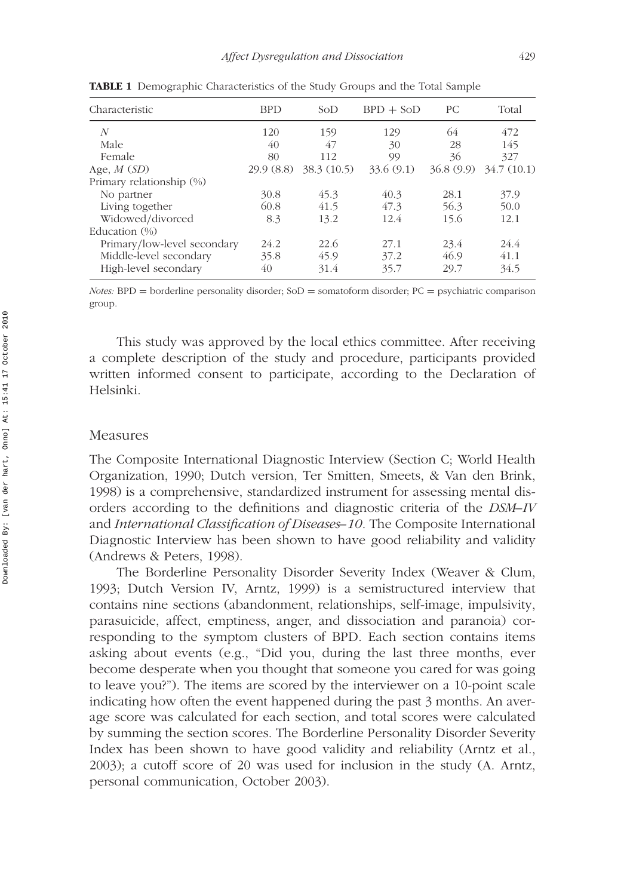| Characteristic              | <b>BPD</b> | SoD        | $BPD + SOD$ | PC.       | Total      |
|-----------------------------|------------|------------|-------------|-----------|------------|
| N                           | 120        | 159        | 129         | 64        | 472        |
| Male                        | 40         | 47         | 30          | 28        | 145        |
| Female                      | 80         | 112        | 99          | 36        | 327        |
| Age, $M(SD)$                | 29.9(8.8)  | 38.3(10.5) | 33.6(9.1)   | 36.8(9.9) | 34.7(10.1) |
| Primary relationship (%)    |            |            |             |           |            |
| No partner                  | 30.8       | 45.3       | 40.3        | 28.1      | 37.9       |
| Living together             | 60.8       | 41.5       | 47.3        | 56.3      | 50.0       |
| Widowed/divorced            | 8.3        | 13.2       | 12.4        | 15.6      | 12.1       |
| Education $(\%)$            |            |            |             |           |            |
| Primary/low-level secondary | 24.2       | 22.6       | 27.1        | 23.4      | 24.4       |
| Middle-level secondary      | 35.8       | 45.9       | 37.2        | 46.9      | 41.1       |
| High-level secondary        | 40         | 31.4       | 35.7        | 29.7      | 34.5       |

**TABLE 1** Demographic Characteristics of the Study Groups and the Total Sample

*Notes:*  $BPD =$  borderline personality disorder;  $SOD =$  somatoform disorder;  $PC =$  psychiatric comparison group.

This study was approved by the local ethics committee. After receiving a complete description of the study and procedure, participants provided written informed consent to participate, according to the Declaration of Helsinki.

## Measures

The Composite International Diagnostic Interview (Section C; World Health Organization, 1990; Dutch version, Ter Smitten, Smeets, & Van den Brink, 1998) is a comprehensive, standardized instrument for assessing mental disorders according to the definitions and diagnostic criteria of the *DSM–IV* and *International Classification of Diseases–10*. The Composite International Diagnostic Interview has been shown to have good reliability and validity (Andrews & Peters, 1998).

The Borderline Personality Disorder Severity Index (Weaver & Clum, 1993; Dutch Version IV, Arntz, 1999) is a semistructured interview that contains nine sections (abandonment, relationships, self-image, impulsivity, parasuicide, affect, emptiness, anger, and dissociation and paranoia) corresponding to the symptom clusters of BPD. Each section contains items asking about events (e.g., "Did you, during the last three months, ever become desperate when you thought that someone you cared for was going to leave you?"). The items are scored by the interviewer on a 10-point scale indicating how often the event happened during the past 3 months. An average score was calculated for each section, and total scores were calculated by summing the section scores. The Borderline Personality Disorder Severity Index has been shown to have good validity and reliability (Arntz et al., 2003); a cutoff score of 20 was used for inclusion in the study (A. Arntz, personal communication, October 2003).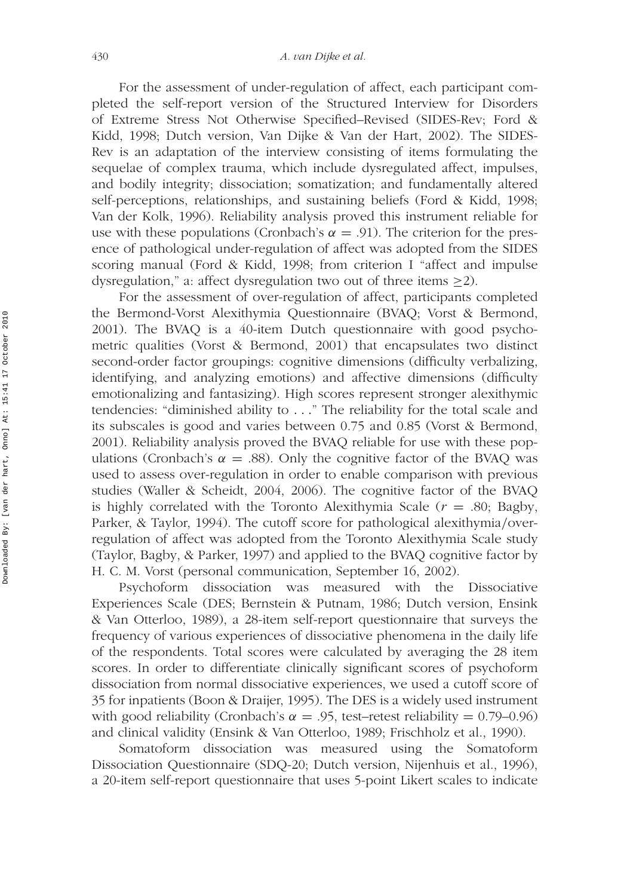For the assessment of under-regulation of affect, each participant completed the self-report version of the Structured Interview for Disorders of Extreme Stress Not Otherwise Specified–Revised (SIDES-Rev; Ford & Kidd, 1998; Dutch version, Van Dijke & Van der Hart, 2002). The SIDES-Rev is an adaptation of the interview consisting of items formulating the sequelae of complex trauma, which include dysregulated affect, impulses, and bodily integrity; dissociation; somatization; and fundamentally altered self-perceptions, relationships, and sustaining beliefs (Ford & Kidd, 1998; Van der Kolk, 1996). Reliability analysis proved this instrument reliable for use with these populations (Cronbach's  $\alpha = .91$ ). The criterion for the presence of pathological under-regulation of affect was adopted from the SIDES scoring manual (Ford & Kidd, 1998; from criterion I "affect and impulse dysregulation," a: affect dysregulation two out of three items  $\geq$ 2).

For the assessment of over-regulation of affect, participants completed the Bermond-Vorst Alexithymia Questionnaire (BVAQ; Vorst & Bermond, 2001). The BVAQ is a 40-item Dutch questionnaire with good psychometric qualities (Vorst & Bermond, 2001) that encapsulates two distinct second-order factor groupings: cognitive dimensions (difficulty verbalizing, identifying, and analyzing emotions) and affective dimensions (difficulty emotionalizing and fantasizing). High scores represent stronger alexithymic tendencies: "diminished ability to ..." The reliability for the total scale and its subscales is good and varies between 0.75 and 0.85 (Vorst & Bermond, 2001). Reliability analysis proved the BVAQ reliable for use with these populations (Cronbach's  $\alpha = .88$ ). Only the cognitive factor of the BVAQ was used to assess over-regulation in order to enable comparison with previous studies (Waller & Scheidt, 2004, 2006). The cognitive factor of the BVAQ is highly correlated with the Toronto Alexithymia Scale  $(r = .80;$  Bagby, Parker, & Taylor, 1994). The cutoff score for pathological alexithymia/overregulation of affect was adopted from the Toronto Alexithymia Scale study (Taylor, Bagby, & Parker, 1997) and applied to the BVAQ cognitive factor by H. C. M. Vorst (personal communication, September 16, 2002).

Psychoform dissociation was measured with the Dissociative Experiences Scale (DES; Bernstein & Putnam, 1986; Dutch version, Ensink & Van Otterloo, 1989), a 28-item self-report questionnaire that surveys the frequency of various experiences of dissociative phenomena in the daily life of the respondents. Total scores were calculated by averaging the 28 item scores. In order to differentiate clinically significant scores of psychoform dissociation from normal dissociative experiences, we used a cutoff score of 35 for inpatients (Boon & Draijer, 1995). The DES is a widely used instrument with good reliability (Cronbach's  $\alpha = .95$ , test–retest reliability = 0.79–0.96) and clinical validity (Ensink & Van Otterloo, 1989; Frischholz et al., 1990).

Somatoform dissociation was measured using the Somatoform Dissociation Questionnaire (SDQ-20; Dutch version, Nijenhuis et al., 1996), a 20-item self-report questionnaire that uses 5-point Likert scales to indicate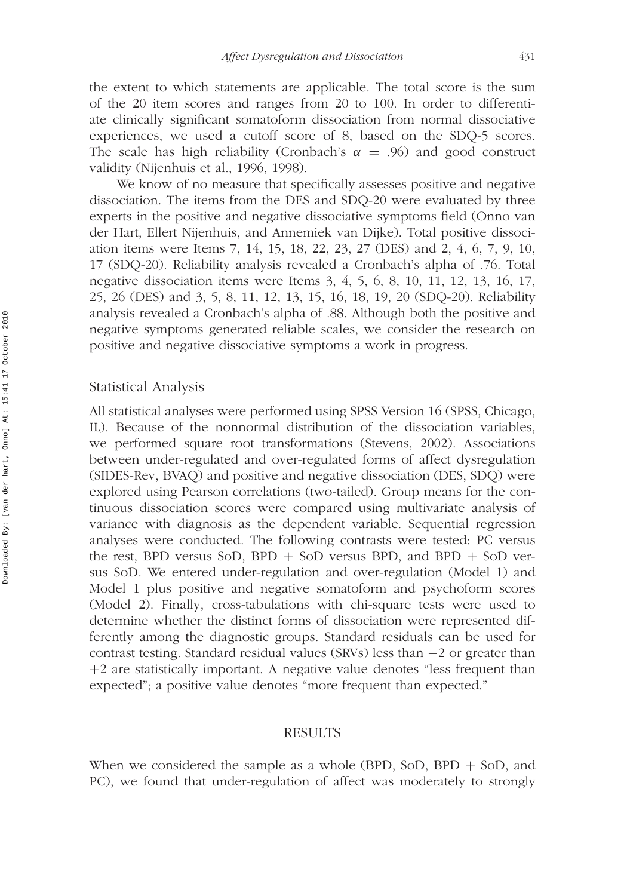the extent to which statements are applicable. The total score is the sum of the 20 item scores and ranges from 20 to 100. In order to differentiate clinically significant somatoform dissociation from normal dissociative experiences, we used a cutoff score of 8, based on the SDQ-5 scores. The scale has high reliability (Cronbach's  $\alpha = .96$ ) and good construct validity (Nijenhuis et al., 1996, 1998).

We know of no measure that specifically assesses positive and negative dissociation. The items from the DES and SDQ-20 were evaluated by three experts in the positive and negative dissociative symptoms field (Onno van der Hart, Ellert Nijenhuis, and Annemiek van Dijke). Total positive dissociation items were Items 7, 14, 15, 18, 22, 23, 27 (DES) and 2, 4, 6, 7, 9, 10, 17 (SDQ-20). Reliability analysis revealed a Cronbach's alpha of .76. Total negative dissociation items were Items 3, 4, 5, 6, 8, 10, 11, 12, 13, 16, 17, 25, 26 (DES) and 3, 5, 8, 11, 12, 13, 15, 16, 18, 19, 20 (SDQ-20). Reliability analysis revealed a Cronbach's alpha of .88. Although both the positive and negative symptoms generated reliable scales, we consider the research on positive and negative dissociative symptoms a work in progress.

## Statistical Analysis

All statistical analyses were performed using SPSS Version 16 (SPSS, Chicago, IL). Because of the nonnormal distribution of the dissociation variables, we performed square root transformations (Stevens, 2002). Associations between under-regulated and over-regulated forms of affect dysregulation (SIDES-Rev, BVAQ) and positive and negative dissociation (DES, SDQ) were explored using Pearson correlations (two-tailed). Group means for the continuous dissociation scores were compared using multivariate analysis of variance with diagnosis as the dependent variable. Sequential regression analyses were conducted. The following contrasts were tested: PC versus the rest, BPD versus SoD, BPD  $+$  SoD versus BPD, and BPD  $+$  SoD versus SoD. We entered under-regulation and over-regulation (Model 1) and Model 1 plus positive and negative somatoform and psychoform scores (Model 2). Finally, cross-tabulations with chi-square tests were used to determine whether the distinct forms of dissociation were represented differently among the diagnostic groups. Standard residuals can be used for contrast testing. Standard residual values (SRVs) less than −2 or greater than +2 are statistically important. A negative value denotes "less frequent than expected"; a positive value denotes "more frequent than expected."

### **RESULTS**

When we considered the sample as a whole (BPD, SoD, BPD + SoD, and PC), we found that under-regulation of affect was moderately to strongly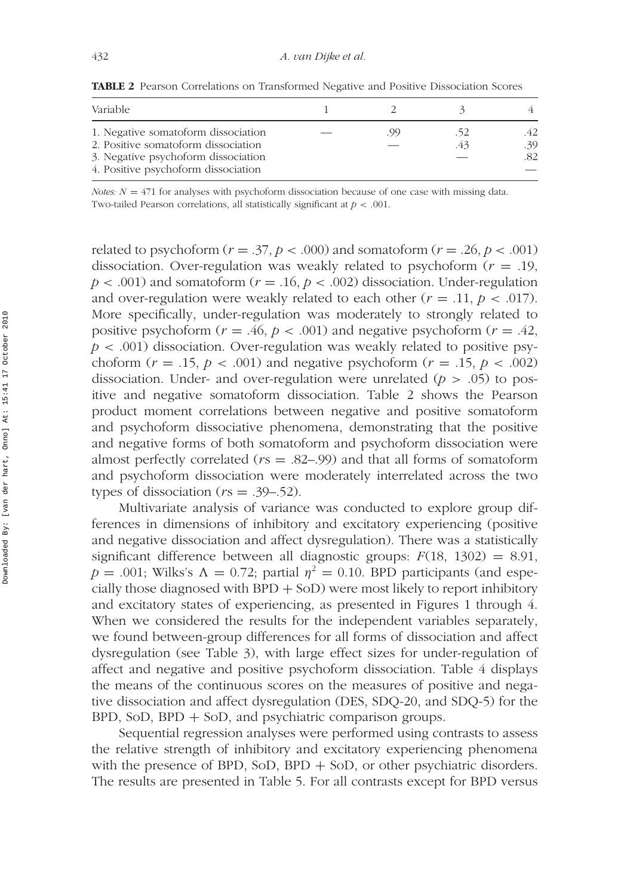| <b>Variable</b>                                                                                                                                          |    |            |                  |
|----------------------------------------------------------------------------------------------------------------------------------------------------------|----|------------|------------------|
| 1. Negative somatoform dissociation<br>2. Positive somatoform dissociation<br>3. Negative psychoform dissociation<br>4. Positive psychoform dissociation | QQ | .52<br>.43 | 42<br>.39<br>.82 |

**TABLE 2** Pearson Correlations on Transformed Negative and Positive Dissociation Scores

*Notes:*  $N = 471$  for analyses with psychoform dissociation because of one case with missing data. Two-tailed Pearson correlations, all statistically significant at *p* < .001.

related to psychoform ( $r = .37$ ,  $p < .000$ ) and somatoform ( $r = .26$ ,  $p < .001$ ) dissociation. Over-regulation was weakly related to psychoform (*r* = .19,  $p < .001$ ) and somatoform ( $r = .16$ ,  $p < .002$ ) dissociation. Under-regulation and over-regulation were weakly related to each other  $(r = .11, p < .017)$ . More specifically, under-regulation was moderately to strongly related to positive psychoform ( $r = .46$ ,  $p < .001$ ) and negative psychoform ( $r = .42$ ,  $p < .001$ ) dissociation. Over-regulation was weakly related to positive psychoform ( $r = .15$ ,  $p < .001$ ) and negative psychoform ( $r = .15$ ,  $p < .002$ ) dissociation. Under- and over-regulation were unrelated  $(p > .05)$  to positive and negative somatoform dissociation. Table 2 shows the Pearson product moment correlations between negative and positive somatoform and psychoform dissociative phenomena, demonstrating that the positive and negative forms of both somatoform and psychoform dissociation were almost perfectly correlated (*r*s = .82–.99) and that all forms of somatoform and psychoform dissociation were moderately interrelated across the two types of dissociation ( $rs = .39-52$ ).

Multivariate analysis of variance was conducted to explore group differences in dimensions of inhibitory and excitatory experiencing (positive and negative dissociation and affect dysregulation). There was a statistically significant difference between all diagnostic groups:  $F(18, 1302) = 8.91$ ,  $p = .001$ ; Wilks's  $\Lambda = 0.72$ ; partial  $\eta^2 = 0.10$ . BPD participants (and especially those diagnosed with  $BPD + SOD$ ) were most likely to report inhibitory and excitatory states of experiencing, as presented in Figures 1 through 4. When we considered the results for the independent variables separately, we found between-group differences for all forms of dissociation and affect dysregulation (see Table 3), with large effect sizes for under-regulation of affect and negative and positive psychoform dissociation. Table 4 displays the means of the continuous scores on the measures of positive and negative dissociation and affect dysregulation (DES, SDQ-20, and SDQ-5) for the BPD, SoD, BPD + SoD, and psychiatric comparison groups.

Sequential regression analyses were performed using contrasts to assess the relative strength of inhibitory and excitatory experiencing phenomena with the presence of BPD, SoD, BPD + SoD, or other psychiatric disorders. The results are presented in Table 5. For all contrasts except for BPD versus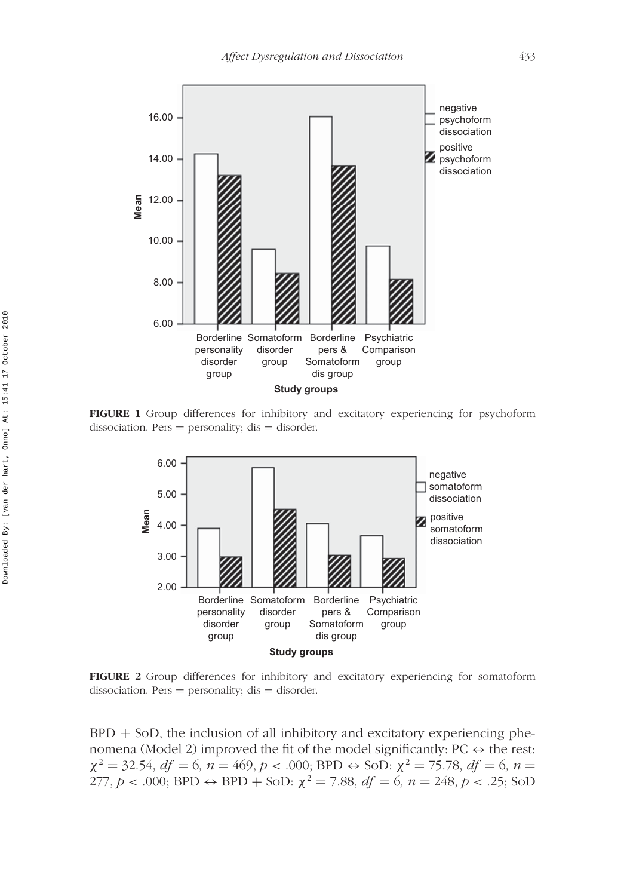

**FIGURE 1** Group differences for inhibitory and excitatory experiencing for psychoform dissociation. Pers  $=$  personality; dis  $=$  disorder.



**FIGURE 2** Group differences for inhibitory and excitatory experiencing for somatoform dissociation. Pers  $=$  personality; dis  $=$  disorder.

 $BPD + SOD$ , the inclusion of all inhibitory and excitatory experiencing phenomena (Model 2) improved the fit of the model significantly: PC  $\leftrightarrow$  the rest:  $\chi^2 = 32.54$ ,  $df = 6$ ,  $n = 469$ ,  $p < .000$ ; BPD  $\leftrightarrow$  SoD:  $\chi^2 = 75.78$ ,  $df = 6$ ,  $n =$ 277, *p* < .000; BPD ↔ BPD + SoD: χ<sup>2</sup> = 7.88, *df* = 6*, n* = 248, *p* < .25; SoD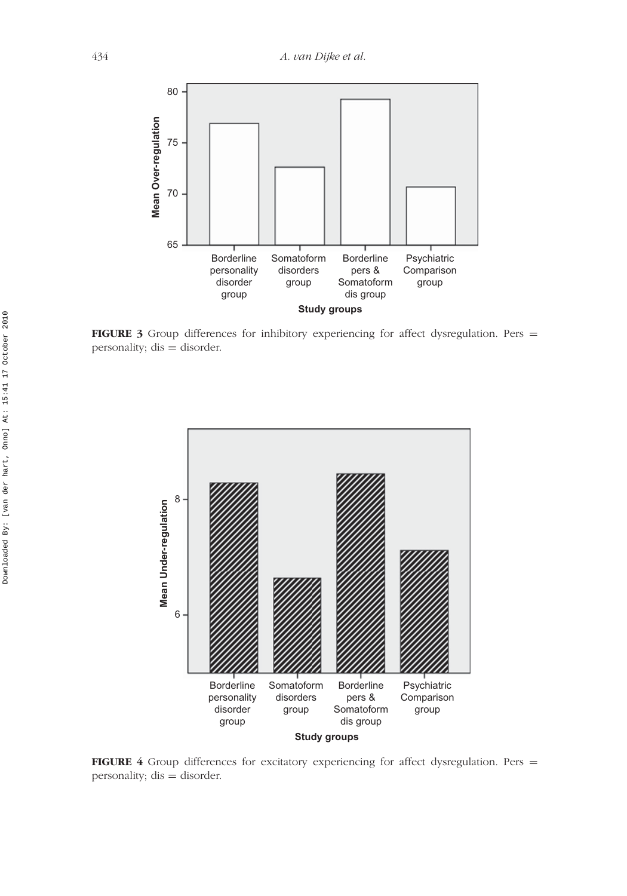

**FIGURE 3** Group differences for inhibitory experiencing for affect dysregulation. Pers = personality; dis = disorder.



**FIGURE 4** Group differences for excitatory experiencing for affect dysregulation. Pers =  $personality$ ; dis = disorder.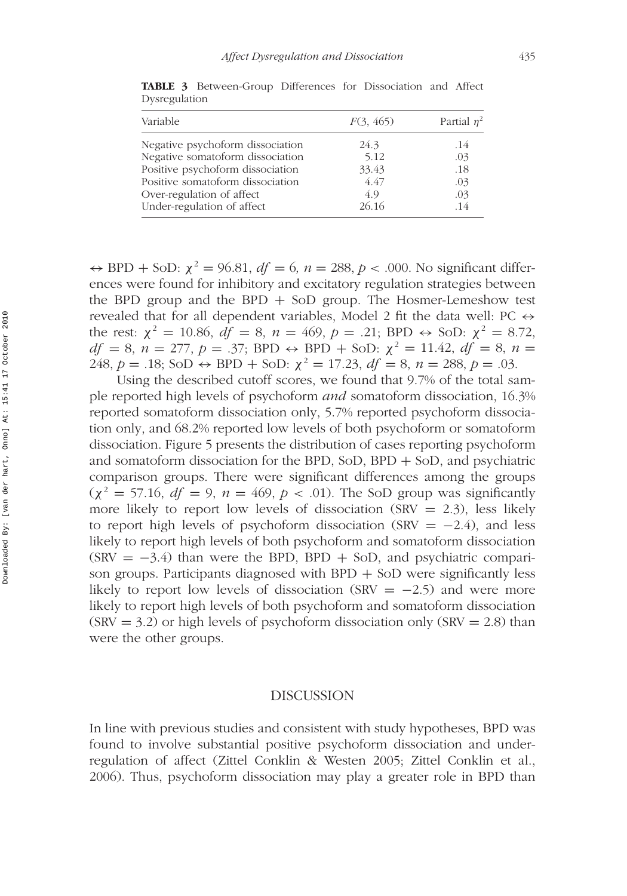| Variable                         | F(3, 465) | Partial $n^2$ |
|----------------------------------|-----------|---------------|
| Negative psychoform dissociation | 24.3      | .14           |
| Negative somatoform dissociation | 5.12      | .03           |
| Positive psychoform dissociation | 33.43     | .18           |
| Positive somatoform dissociation | 4.47      | .03           |
| Over-regulation of affect        | 4.9       | .03           |
| Under-regulation of affect       | 26.16     | .14           |

**TABLE 3** Between-Group Differences for Dissociation and Affect Dysregulation

 $\leftrightarrow$  BPD + SoD:  $\chi^2$  = 96.81,  $df$  = 6,  $n = 288$ ,  $p < .000$ . No significant differences were found for inhibitory and excitatory regulation strategies between the BPD group and the BPD  $+$  SoD group. The Hosmer-Lemeshow test revealed that for all dependent variables, Model 2 fit the data well: PC  $\leftrightarrow$ the rest:  $\chi^2 = 10.86$ ,  $df = 8$ ,  $n = 469$ ,  $p = .21$ ; BPD  $\leftrightarrow$  SoD:  $\chi^2 = 8.72$ ,  $df = 8$ ,  $n = 277$ ,  $p = .37$ ; BPD  $\leftrightarrow$  BPD + SoD:  $\chi^2 = 11.42$ ,  $df = 8$ ,  $n =$ 248,  $p = .18$ ; SoD  $\leftrightarrow$  BPD + SoD:  $\chi^2 = 17.23$ ,  $df = 8$ ,  $n = 288$ ,  $p = .03$ .

Using the described cutoff scores, we found that 9.7% of the total sample reported high levels of psychoform *and* somatoform dissociation, 16.3% reported somatoform dissociation only, 5.7% reported psychoform dissociation only, and 68.2% reported low levels of both psychoform or somatoform dissociation. Figure 5 presents the distribution of cases reporting psychoform and somatoform dissociation for the BPD, SoD, BPD + SoD, and psychiatric comparison groups. There were significant differences among the groups  $(\chi^2 = 57.16, df = 9, n = 469, p < .01)$ . The SoD group was significantly more likely to report low levels of dissociation  $(SRV = 2.3)$ , less likely to report high levels of psychoform dissociation (SRV =  $-2.4$ ), and less likely to report high levels of both psychoform and somatoform dissociation  $(SRV = -3.4)$  than were the BPD, BPD + SoD, and psychiatric comparison groups. Participants diagnosed with BPD + SoD were significantly less likely to report low levels of dissociation (SRV =  $-2.5$ ) and were more likely to report high levels of both psychoform and somatoform dissociation  $(SRV = 3.2)$  or high levels of psychoform dissociation only  $(SRV = 2.8)$  than were the other groups.

#### DISCUSSION

In line with previous studies and consistent with study hypotheses, BPD was found to involve substantial positive psychoform dissociation and underregulation of affect (Zittel Conklin & Westen 2005; Zittel Conklin et al., 2006). Thus, psychoform dissociation may play a greater role in BPD than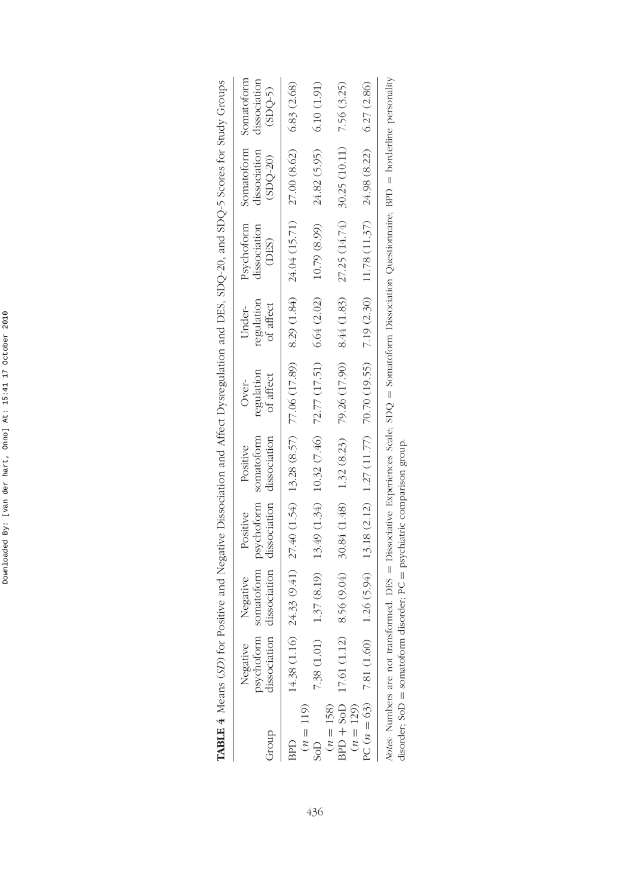| J<br>١                                                                                                        |  |
|---------------------------------------------------------------------------------------------------------------|--|
|                                                                                                               |  |
|                                                                                                               |  |
| I<br>)                                                                                                        |  |
|                                                                                                               |  |
|                                                                                                               |  |
|                                                                                                               |  |
|                                                                                                               |  |
|                                                                                                               |  |
|                                                                                                               |  |
|                                                                                                               |  |
| $\ddot{\phantom{a}}$                                                                                          |  |
|                                                                                                               |  |
|                                                                                                               |  |
| ֧֦֧ׅ֧ׅ֧֧֧֧֧֛֧֧ׅ֧֧ׅ֧֧ׅ֧֧֧ׅ֧֛֛֧֧֧֧֧֧֧֧֧֧֧֧֧֧֧֧֧֧֧֧֧֧֧֧֛֛֛֛֧֧֧֧֧֧֧֚֚֚֚֚֚֚֚֚֚֚֚֚֚֚֚֚֚֚֚֚֚֚֚֬֘֩֕֓֜֜֝֓֝֓֝֓֓֜֓֜֜֜֓֜֓ |  |
|                                                                                                               |  |
|                                                                                                               |  |
|                                                                                                               |  |
|                                                                                                               |  |
| י                                                                                                             |  |
|                                                                                                               |  |
|                                                                                                               |  |
| はく・ くく くんく くよく                                                                                                |  |
| י                                                                                                             |  |
| ì                                                                                                             |  |
|                                                                                                               |  |
|                                                                                                               |  |
|                                                                                                               |  |
|                                                                                                               |  |
|                                                                                                               |  |
| j                                                                                                             |  |
|                                                                                                               |  |
|                                                                                                               |  |
| ļ<br>ļ                                                                                                        |  |
|                                                                                                               |  |
|                                                                                                               |  |
|                                                                                                               |  |
|                                                                                                               |  |
|                                                                                                               |  |
|                                                                                                               |  |
|                                                                                                               |  |
|                                                                                                               |  |
|                                                                                                               |  |
|                                                                                                               |  |
| $\begin{array}{c} \hline \end{array}$                                                                         |  |
|                                                                                                               |  |
|                                                                                                               |  |
|                                                                                                               |  |
|                                                                                                               |  |
| I                                                                                                             |  |
|                                                                                                               |  |
|                                                                                                               |  |
|                                                                                                               |  |
|                                                                                                               |  |
|                                                                                                               |  |
| $\ddot{\phantom{0}}$<br>j<br>J<br>ļ<br>j                                                                      |  |
| ļ                                                                                                             |  |
|                                                                                                               |  |
|                                                                                                               |  |
| Ì<br>l                                                                                                        |  |
|                                                                                                               |  |
|                                                                                                               |  |
|                                                                                                               |  |
|                                                                                                               |  |
|                                                                                                               |  |
|                                                                                                               |  |
|                                                                                                               |  |
| <br> <br> <br>                                                                                                |  |

| drorp              | dissociation<br>osychoform<br>Negative | Negative | Positive | somatoform psychoform somatoform<br>dissociation dissociation dissociation<br>Positive | regulation<br>of affect<br>Over- | regulation<br>of affect<br>Under- | dissociation<br>(DES)                                                                                                                               | Psychoform Somatoform Somatoform<br>dissociation dissociation<br>$(SDQ-20)$ $(SDQ-5)$ |  |
|--------------------|----------------------------------------|----------|----------|----------------------------------------------------------------------------------------|----------------------------------|-----------------------------------|-----------------------------------------------------------------------------------------------------------------------------------------------------|---------------------------------------------------------------------------------------|--|
| gdk                | 14.38 (1.16)                           |          |          |                                                                                        |                                  |                                   | $24,33$ (9.41) $27,40$ (1.54) 13.28 (8.57) 77.06 (17.89) 8.29 (1.84) $24.04$ (15.71) 27.00 (8.62) 6.83 (2.68)                                       |                                                                                       |  |
| $(n = 119)$<br>SOD | 7.38 (1.01)                            |          |          |                                                                                        |                                  |                                   | 1.37 (8.19) 13.49 (1.34) 10.32 (7.46) 72.77 (17.51) 6.64 (2.02) 10.79 (8.99) 24.82 (5.95) 6.10 (1.91)                                               |                                                                                       |  |
| $(n = 158)$        | $3PD + SOD$ 17.61 (1.12)               |          |          |                                                                                        |                                  |                                   | 8.56 (9.04) 30.84 (1.48) 1.32 (8.23) 79.26 (17.90) 8.44 (1.83) 27.25 (14.74) 30.25 (10.11) 7.56 (3.25)                                              |                                                                                       |  |
| $(n = 129)$        | PC $(n = 63)$ 7.81 (1.60)              |          |          |                                                                                        |                                  |                                   | 1.26 (5.94) 13.18 (2.12) 1.27 (11.77) 70.70 (19.55) 7.19 (2.30) 11.78 (11.37) 24.98 (8.22) 6.27 (2.86)                                              |                                                                                       |  |
|                    |                                        |          |          |                                                                                        |                                  |                                   | Notes: Numbers are not transformed. DES = Dissociative Experiences Scale; SDQ = Somatoform Dissociation Questionnaire; BPD = borderline personality |                                                                                       |  |

disorder; SoD = somatoform disorder;  $PC =$  psychiatric comparison group. disorder; SoD = somatoform disorder; PC = psychiatric comparison group.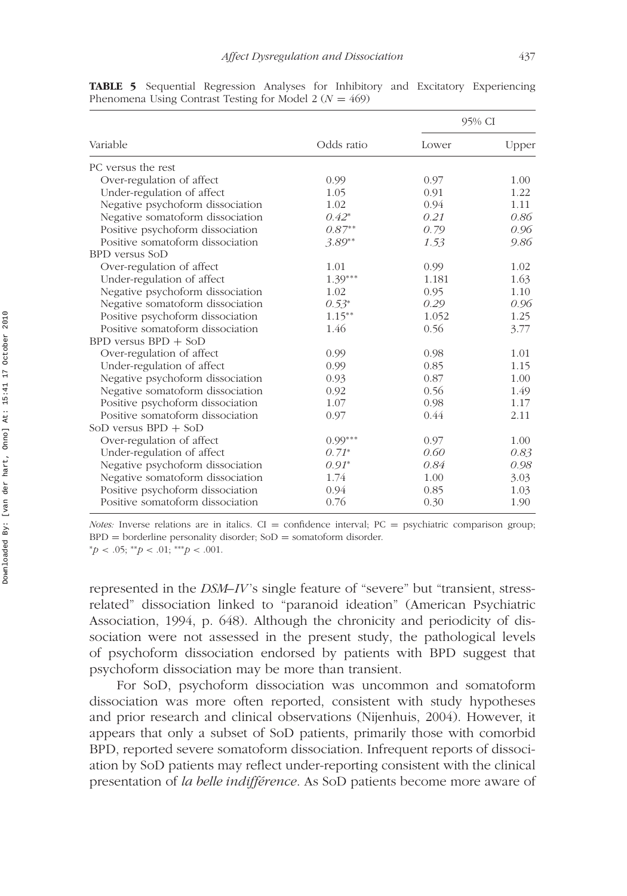|                                  |            |       | 95% CI |
|----------------------------------|------------|-------|--------|
| Variable                         | Odds ratio | Lower | Upper  |
| PC versus the rest               |            |       |        |
| Over-regulation of affect        | 0.99       | 0.97  | 1.00   |
| Under-regulation of affect       | 1.05       | 0.91  | 1.22   |
| Negative psychoform dissociation | 1.02       | 0.94  | 1.11   |
| Negative somatoform dissociation | $0.42*$    | 0.21  | 0.86   |
| Positive psychoform dissociation | $0.87**$   | 0.79  | 0.96   |
| Positive somatoform dissociation | $3.89**$   | 1.53  | 9.86   |
| BPD versus SoD                   |            |       |        |
| Over-regulation of affect        | 1.01       | 0.99  | 1.02   |
| Under-regulation of affect       | $1.39***$  | 1.181 | 1.63   |
| Negative psychoform dissociation | 1.02       | 0.95  | 1.10   |
| Negative somatoform dissociation | $0.53^*$   | 0.29  | 0.96   |
| Positive psychoform dissociation | $1.15***$  | 1.052 | 1.25   |
| Positive somatoform dissociation | 1.46       | 0.56  | 3.77   |
| $BPD$ versus $BPD + SOD$         |            |       |        |
| Over-regulation of affect        | 0.99       | 0.98  | 1.01   |
| Under-regulation of affect       | 0.99       | 0.85  | 1.15   |
| Negative psychoform dissociation | 0.93       | 0.87  | 1.00   |
| Negative somatoform dissociation | 0.92       | 0.56  | 1.49   |
| Positive psychoform dissociation | 1.07       | 0.98  | 1.17   |
| Positive somatoform dissociation | 0.97       | 0.44  | 2.11   |
| $SOD$ versus $BPD + SOD$         |            |       |        |
| Over-regulation of affect        | $0.99***$  | 0.97  | 1.00   |
| Under-regulation of affect       | $0.71*$    | 0.60  | 0.83   |
| Negative psychoform dissociation | $0.91*$    | 0.84  | 0.98   |
| Negative somatoform dissociation | 1.74       | 1.00  | 3.03   |
| Positive psychoform dissociation | 0.94       | 0.85  | 1.03   |
| Positive somatoform dissociation | 0.76       | 0.30  | 1.90   |

**TABLE 5** Sequential Regression Analyses for Inhibitory and Excitatory Experiencing Phenomena Using Contrast Testing for Model 2 ( $N = 469$ )

*Notes:* Inverse relations are in italics.  $CI =$  confidence interval;  $PC =$  psychiatric comparison group;  $BPD = borderline personality disorder; SoD = somatoform disorder.$ <sup>∗</sup>*p* < .05; ∗∗*p* < .01; ∗∗∗*p* < .001.

represented in the *DSM–IV*'s single feature of "severe" but "transient, stressrelated" dissociation linked to "paranoid ideation" (American Psychiatric Association, 1994, p. 648). Although the chronicity and periodicity of dissociation were not assessed in the present study, the pathological levels of psychoform dissociation endorsed by patients with BPD suggest that psychoform dissociation may be more than transient.

For SoD, psychoform dissociation was uncommon and somatoform dissociation was more often reported, consistent with study hypotheses and prior research and clinical observations (Nijenhuis, 2004). However, it appears that only a subset of SoD patients, primarily those with comorbid BPD, reported severe somatoform dissociation. Infrequent reports of dissociation by SoD patients may reflect under-reporting consistent with the clinical presentation of *la belle indifférence*. As SoD patients become more aware of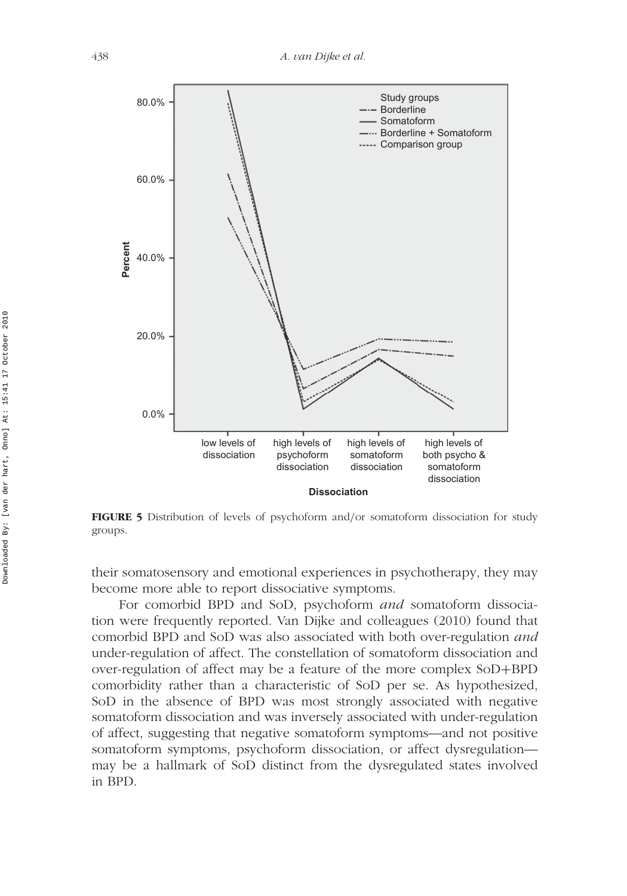

**FIGURE 5** Distribution of levels of psychoform and/or somatoform dissociation for study groups.

their somatosensory and emotional experiences in psychotherapy, they may become more able to report dissociative symptoms.

For comorbid BPD and SoD, psychoform *and* somatoform dissociation were frequently reported. Van Dijke and colleagues (2010) found that comorbid BPD and SoD was also associated with both over-regulation *and* under-regulation of affect. The constellation of somatoform dissociation and over-regulation of affect may be a feature of the more complex SoD+BPD comorbidity rather than a characteristic of SoD per se. As hypothesized, SoD in the absence of BPD was most strongly associated with negative somatoform dissociation and was inversely associated with under-regulation of affect, suggesting that negative somatoform symptoms—and not positive somatoform symptoms, psychoform dissociation, or affect dysregulation may be a hallmark of SoD distinct from the dysregulated states involved in BPD.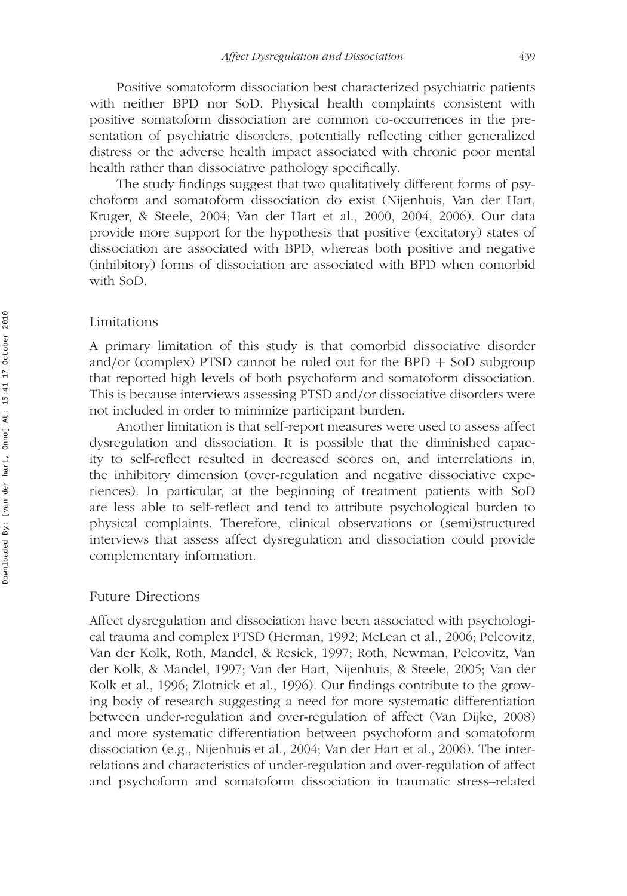Positive somatoform dissociation best characterized psychiatric patients with neither BPD nor SoD. Physical health complaints consistent with positive somatoform dissociation are common co-occurrences in the presentation of psychiatric disorders, potentially reflecting either generalized distress or the adverse health impact associated with chronic poor mental health rather than dissociative pathology specifically.

The study findings suggest that two qualitatively different forms of psychoform and somatoform dissociation do exist (Nijenhuis, Van der Hart, Kruger, & Steele, 2004; Van der Hart et al., 2000, 2004, 2006). Our data provide more support for the hypothesis that positive (excitatory) states of dissociation are associated with BPD, whereas both positive and negative (inhibitory) forms of dissociation are associated with BPD when comorbid with SoD.

### Limitations

A primary limitation of this study is that comorbid dissociative disorder and/or (complex) PTSD cannot be ruled out for the BPD + SoD subgroup that reported high levels of both psychoform and somatoform dissociation. This is because interviews assessing PTSD and/or dissociative disorders were not included in order to minimize participant burden.

Another limitation is that self-report measures were used to assess affect dysregulation and dissociation. It is possible that the diminished capacity to self-reflect resulted in decreased scores on, and interrelations in, the inhibitory dimension (over-regulation and negative dissociative experiences). In particular, at the beginning of treatment patients with SoD are less able to self-reflect and tend to attribute psychological burden to physical complaints. Therefore, clinical observations or (semi)structured interviews that assess affect dysregulation and dissociation could provide complementary information.

#### Future Directions

Affect dysregulation and dissociation have been associated with psychological trauma and complex PTSD (Herman, 1992; McLean et al., 2006; Pelcovitz, Van der Kolk, Roth, Mandel, & Resick, 1997; Roth, Newman, Pelcovitz, Van der Kolk, & Mandel, 1997; Van der Hart, Nijenhuis, & Steele, 2005; Van der Kolk et al., 1996; Zlotnick et al., 1996). Our findings contribute to the growing body of research suggesting a need for more systematic differentiation between under-regulation and over-regulation of affect (Van Dijke, 2008) and more systematic differentiation between psychoform and somatoform dissociation (e.g., Nijenhuis et al., 2004; Van der Hart et al., 2006). The interrelations and characteristics of under-regulation and over-regulation of affect and psychoform and somatoform dissociation in traumatic stress–related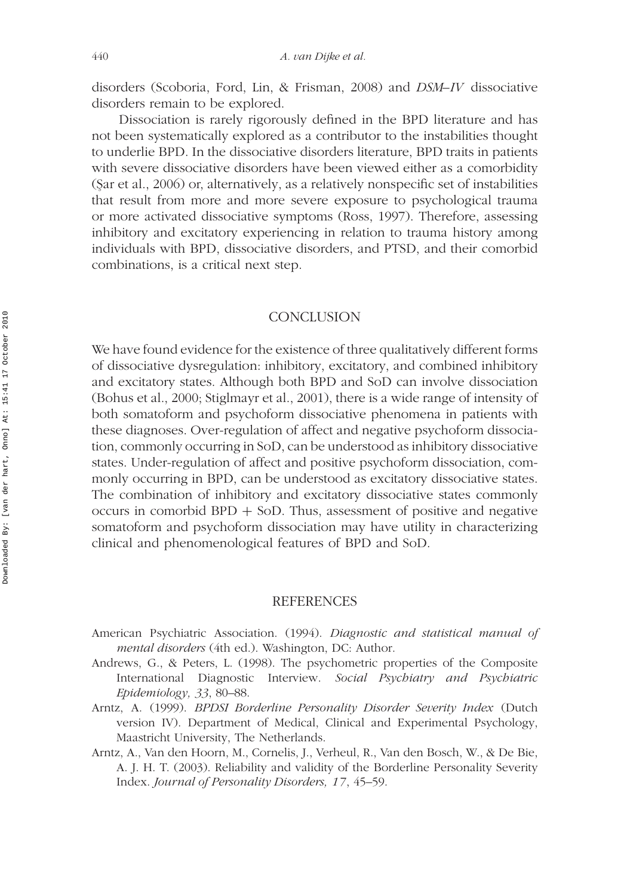disorders (Scoboria, Ford, Lin, & Frisman, 2008) and *DSM–IV* dissociative disorders remain to be explored.

Dissociation is rarely rigorously defined in the BPD literature and has not been systematically explored as a contributor to the instabilities thought to underlie BPD. In the dissociative disorders literature, BPD traits in patients with severe dissociative disorders have been viewed either as a comorbidity (Sar et al., 2006) or, alternatively, as a relatively nonspecific set of instabilities that result from more and more severe exposure to psychological trauma or more activated dissociative symptoms (Ross, 1997). Therefore, assessing inhibitory and excitatory experiencing in relation to trauma history among individuals with BPD, dissociative disorders, and PTSD, and their comorbid combinations, is a critical next step.

# **CONCLUSION**

We have found evidence for the existence of three qualitatively different forms of dissociative dysregulation: inhibitory, excitatory, and combined inhibitory and excitatory states. Although both BPD and SoD can involve dissociation (Bohus et al., 2000; Stiglmayr et al., 2001), there is a wide range of intensity of both somatoform and psychoform dissociative phenomena in patients with these diagnoses. Over-regulation of affect and negative psychoform dissociation, commonly occurring in SoD, can be understood as inhibitory dissociative states. Under-regulation of affect and positive psychoform dissociation, commonly occurring in BPD, can be understood as excitatory dissociative states. The combination of inhibitory and excitatory dissociative states commonly occurs in comorbid BPD + SoD. Thus, assessment of positive and negative somatoform and psychoform dissociation may have utility in characterizing clinical and phenomenological features of BPD and SoD.

#### **REFERENCES**

- American Psychiatric Association. (1994). *Diagnostic and statistical manual of mental disorders* (4th ed.). Washington, DC: Author.
- Andrews, G., & Peters, L. (1998). The psychometric properties of the Composite International Diagnostic Interview. *Social Psychiatry and Psychiatric Epidemiology, 33*, 80–88.
- Arntz, A. (1999). *BPDSI Borderline Personality Disorder Severity Index* (Dutch version IV). Department of Medical, Clinical and Experimental Psychology, Maastricht University, The Netherlands.
- Arntz, A., Van den Hoorn, M., Cornelis, J., Verheul, R., Van den Bosch, W., & De Bie, A. J. H. T. (2003). Reliability and validity of the Borderline Personality Severity Index. *Journal of Personality Disorders, 17*, 45–59.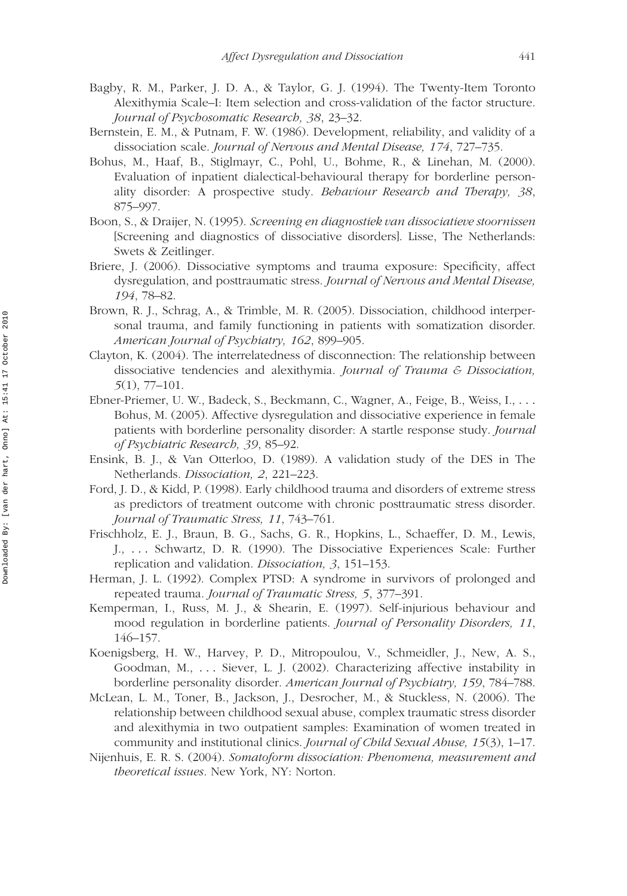- Bagby, R. M., Parker, J. D. A., & Taylor, G. J. (1994). The Twenty-Item Toronto Alexithymia Scale–I: Item selection and cross-validation of the factor structure. *Journal of Psychosomatic Research, 38*, 23–32.
- Bernstein, E. M., & Putnam, F. W. (1986). Development, reliability, and validity of a dissociation scale. *Journal of Nervous and Mental Disease, 174*, 727–735.
- Bohus, M., Haaf, B., Stiglmayr, C., Pohl, U., Bohme, R., & Linehan, M. (2000). Evaluation of inpatient dialectical-behavioural therapy for borderline personality disorder: A prospective study. *Behaviour Research and Therapy, 38*, 875–997.
- Boon, S., & Draijer, N. (1995). *Screening en diagnostiek van dissociatieve stoornissen* [Screening and diagnostics of dissociative disorders]. Lisse, The Netherlands: Swets & Zeitlinger.
- Briere, J. (2006). Dissociative symptoms and trauma exposure: Specificity, affect dysregulation, and posttraumatic stress. *Journal of Nervous and Mental Disease, 194*, 78–82.
- Brown, R. J., Schrag, A., & Trimble, M. R. (2005). Dissociation, childhood interpersonal trauma, and family functioning in patients with somatization disorder. *American Journal of Psychiatry, 162*, 899–905.
- Clayton, K. (2004). The interrelatedness of disconnection: The relationship between dissociative tendencies and alexithymia. *Journal of Trauma & Dissociation, 5*(1), 77–101.
- Ebner-Priemer, U. W., Badeck, S., Beckmann, C., Wagner, A., Feige, B., Weiss, I., ... Bohus, M. (2005). Affective dysregulation and dissociative experience in female patients with borderline personality disorder: A startle response study. *Journal of Psychiatric Research, 39*, 85–92.
- Ensink, B. J., & Van Otterloo, D. (1989). A validation study of the DES in The Netherlands. *Dissociation, 2*, 221–223.
- Ford, J. D., & Kidd, P. (1998). Early childhood trauma and disorders of extreme stress as predictors of treatment outcome with chronic posttraumatic stress disorder. *Journal of Traumatic Stress, 11*, 743–761.
- Frischholz, E. J., Braun, B. G., Sachs, G. R., Hopkins, L., Schaeffer, D. M., Lewis, J., ... Schwartz, D. R. (1990). The Dissociative Experiences Scale: Further replication and validation. *Dissociation, 3*, 151–153.
- Herman, J. L. (1992). Complex PTSD: A syndrome in survivors of prolonged and repeated trauma. *Journal of Traumatic Stress, 5*, 377–391.
- Kemperman, I., Russ, M. J., & Shearin, E. (1997). Self-injurious behaviour and mood regulation in borderline patients. *Journal of Personality Disorders, 11*, 146–157.
- Koenigsberg, H. W., Harvey, P. D., Mitropoulou, V., Schmeidler, J., New, A. S., Goodman, M., ... Siever, L. J. (2002). Characterizing affective instability in borderline personality disorder. *American Journal of Psychiatry, 159*, 784–788.
- McLean, L. M., Toner, B., Jackson, J., Desrocher, M., & Stuckless, N. (2006). The relationship between childhood sexual abuse, complex traumatic stress disorder and alexithymia in two outpatient samples: Examination of women treated in community and institutional clinics. *Journal of Child Sexual Abuse, 15*(3), 1–17.
- Nijenhuis, E. R. S. (2004). *Somatoform dissociation: Phenomena, measurement and theoretical issues*. New York, NY: Norton.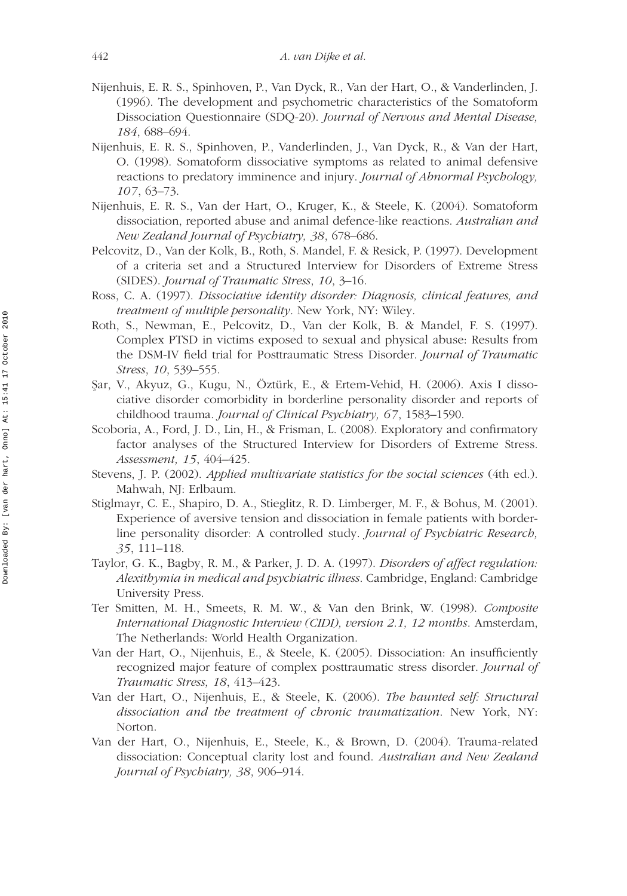- Nijenhuis, E. R. S., Spinhoven, P., Van Dyck, R., Van der Hart, O., & Vanderlinden, J. (1996). The development and psychometric characteristics of the Somatoform Dissociation Questionnaire (SDQ-20). *Journal of Nervous and Mental Disease, 184*, 688–694.
- Nijenhuis, E. R. S., Spinhoven, P., Vanderlinden, J., Van Dyck, R., & Van der Hart, O. (1998). Somatoform dissociative symptoms as related to animal defensive reactions to predatory imminence and injury. *Journal of Abnormal Psychology, 107*, 63–73.
- Nijenhuis, E. R. S., Van der Hart, O., Kruger, K., & Steele, K. (2004). Somatoform dissociation, reported abuse and animal defence-like reactions. *Australian and New Zealand Journal of Psychiatry, 38*, 678–686.
- Pelcovitz, D., Van der Kolk, B., Roth, S. Mandel, F. & Resick, P. (1997). Development of a criteria set and a Structured Interview for Disorders of Extreme Stress (SIDES). *Journal of Traumatic Stress*, *10*, 3–16.
- Ross, C. A. (1997). *Dissociative identity disorder: Diagnosis, clinical features, and treatment of multiple personality*. New York, NY: Wiley.
- Roth, S., Newman, E., Pelcovitz, D., Van der Kolk, B. & Mandel, F. S. (1997). Complex PTSD in victims exposed to sexual and physical abuse: Results from the DSM-IV field trial for Posttraumatic Stress Disorder. *Journal of Traumatic Stress*, *10*, 539–555.
- Sar, V., Akyuz, G., Kugu, N., Öztürk, E., & Ertem-Vehid, H. (2006). Axis I dissociative disorder comorbidity in borderline personality disorder and reports of childhood trauma. *Journal of Clinical Psychiatry, 67*, 1583–1590.
- Scoboria, A., Ford, J. D., Lin, H., & Frisman, L. (2008). Exploratory and confirmatory factor analyses of the Structured Interview for Disorders of Extreme Stress. *Assessment, 15*, 404–425.
- Stevens, J. P. (2002). *Applied multivariate statistics for the social sciences* (4th ed.). Mahwah, NJ: Erlbaum.
- Stiglmayr, C. E., Shapiro, D. A., Stieglitz, R. D. Limberger, M. F., & Bohus, M. (2001). Experience of aversive tension and dissociation in female patients with borderline personality disorder: A controlled study. *Journal of Psychiatric Research, 35*, 111–118.
- Taylor, G. K., Bagby, R. M., & Parker, J. D. A. (1997). *Disorders of affect regulation: Alexithymia in medical and psychiatric illness*. Cambridge, England: Cambridge University Press.
- Ter Smitten, M. H., Smeets, R. M. W., & Van den Brink, W. (1998). *Composite International Diagnostic Interview (CIDI), version 2.1, 12 months*. Amsterdam, The Netherlands: World Health Organization.
- Van der Hart, O., Nijenhuis, E., & Steele, K. (2005). Dissociation: An insufficiently recognized major feature of complex posttraumatic stress disorder. *Journal of Traumatic Stress, 18*, 413–423.
- Van der Hart, O., Nijenhuis, E., & Steele, K. (2006). *The haunted self: Structural dissociation and the treatment of chronic traumatization*. New York, NY: Norton.
- Van der Hart, O., Nijenhuis, E., Steele, K., & Brown, D. (2004). Trauma-related dissociation: Conceptual clarity lost and found. *Australian and New Zealand Journal of Psychiatry, 38*, 906–914.